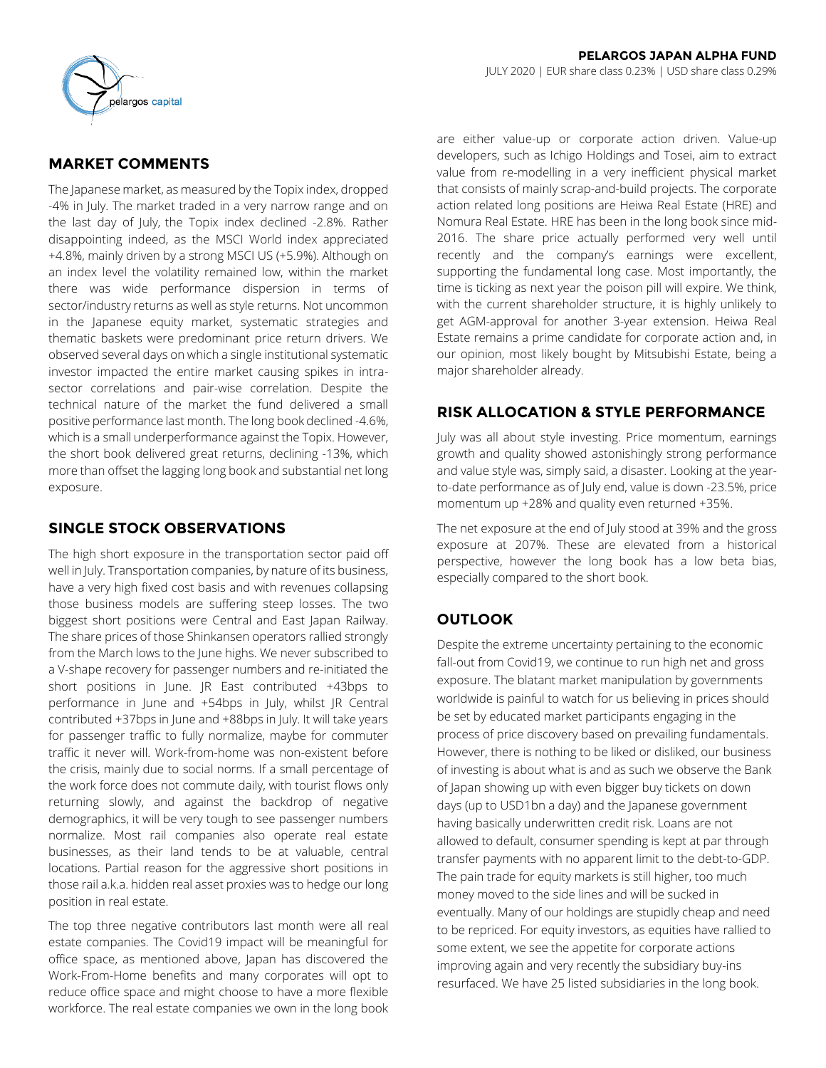

# **MARKET COMMENTS**

The Japanese market, as measured by the Topix index, dropped -4% in July. The market traded in a very narrow range and on the last day of July, the Topix index declined -2.8%. Rather disappointing indeed, as the MSCI World index appreciated +4.8%, mainly driven by a strong MSCI US (+5.9%). Although on an index level the volatility remained low, within the market there was wide performance dispersion in terms of sector/industry returns as well as style returns. Not uncommon in the Japanese equity market, systematic strategies and thematic baskets were predominant price return drivers. We observed several days on which a single institutional systematic investor impacted the entire market causing spikes in intrasector correlations and pair-wise correlation. Despite the technical nature of the market the fund delivered a small positive performance last month. The long book declined -4.6%, which is a small underperformance against the Topix. However, the short book delivered great returns, declining -13%, which more than offset the lagging long book and substantial net long exposure.

# **SINGLE STOCK OBSERVATIONS**

The high short exposure in the transportation sector paid off well in July. Transportation companies, by nature of its business, have a very high fixed cost basis and with revenues collapsing those business models are suffering steep losses. The two biggest short positions were Central and East Japan Railway. The share prices of those Shinkansen operators rallied strongly from the March lows to the June highs. We never subscribed to a V-shape recovery for passenger numbers and re-initiated the short positions in June. JR East contributed +43bps to performance in June and +54bps in July, whilst JR Central contributed +37bps in June and +88bps in July. It will take years for passenger traffic to fully normalize, maybe for commuter traffic it never will. Work-from-home was non-existent before the crisis, mainly due to social norms. If a small percentage of the work force does not commute daily, with tourist flows only returning slowly, and against the backdrop of negative demographics, it will be very tough to see passenger numbers normalize. Most rail companies also operate real estate businesses, as their land tends to be at valuable, central locations. Partial reason for the aggressive short positions in those rail a.k.a. hidden real asset proxies was to hedge our long position in real estate.

The top three negative contributors last month were all real estate companies. The Covid19 impact will be meaningful for office space, as mentioned above, Japan has discovered the Work-From-Home benefits and many corporates will opt to reduce office space and might choose to have a more flexible workforce. The real estate companies we own in the long book are either value-up or corporate action driven. Value-up developers, such as Ichigo Holdings and Tosei, aim to extract value from re-modelling in a very inefficient physical market that consists of mainly scrap-and-build projects. The corporate action related long positions are Heiwa Real Estate (HRE) and Nomura Real Estate. HRE has been in the long book since mid-2016. The share price actually performed very well until recently and the company's earnings were excellent, supporting the fundamental long case. Most importantly, the time is ticking as next year the poison pill will expire. We think, with the current shareholder structure, it is highly unlikely to get AGM-approval for another 3-year extension. Heiwa Real Estate remains a prime candidate for corporate action and, in our opinion, most likely bought by Mitsubishi Estate, being a major shareholder already.

# **RISK ALLOCATION & STYLE PERFORMANCE**

July was all about style investing. Price momentum, earnings growth and quality showed astonishingly strong performance and value style was, simply said, a disaster. Looking at the yearto-date performance as of July end, value is down -23.5%, price momentum up +28% and quality even returned +35%.

The net exposure at the end of July stood at 39% and the gross exposure at 207%. These are elevated from a historical perspective, however the long book has a low beta bias, especially compared to the short book.

# **OUTLOOK**

Despite the extreme uncertainty pertaining to the economic fall-out from Covid19, we continue to run high net and gross exposure. The blatant market manipulation by governments worldwide is painful to watch for us believing in prices should be set by educated market participants engaging in the process of price discovery based on prevailing fundamentals. However, there is nothing to be liked or disliked, our business of investing is about what is and as such we observe the Bank of Japan showing up with even bigger buy tickets on down days (up to USD1bn a day) and the Japanese government having basically underwritten credit risk. Loans are not allowed to default, consumer spending is kept at par through transfer payments with no apparent limit to the debt-to-GDP. The pain trade for equity markets is still higher, too much money moved to the side lines and will be sucked in eventually. Many of our holdings are stupidly cheap and need to be repriced. For equity investors, as equities have rallied to some extent, we see the appetite for corporate actions improving again and very recently the subsidiary buy-ins resurfaced. We have 25 listed subsidiaries in the long book.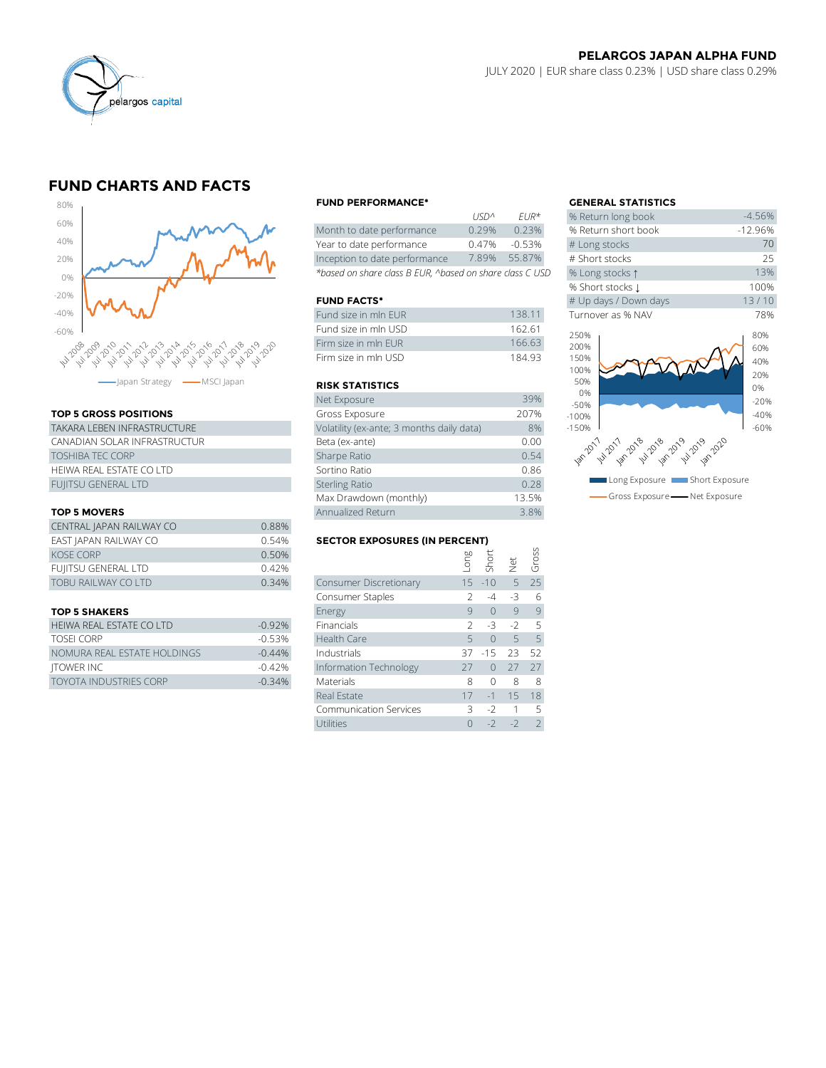

# **FUND CHARTS AND FACTS**



### **TOP 5 GROSS POSITIONS**

| TAKARA LEBEN INFRASTRUCTURE  | Volatility (ex-ante; 3 months daily data) |  |  |  |  |
|------------------------------|-------------------------------------------|--|--|--|--|
| CANADIAN SOLAR INFRASTRUCTUR | Beta (ex-ante)                            |  |  |  |  |
| <b>TOSHIBA TEC CORP</b>      | Sharpe Ratio                              |  |  |  |  |
| HEIWA REAL ESTATE CO LTD     | Sortino Ratio                             |  |  |  |  |
| <b>FUIITSU GENERAL LTD</b>   | <b>Sterling Ratio</b>                     |  |  |  |  |

#### **TOP 5 MOVERS**

|                          |       | Max Drawdown (monthly)               |  |               | 13.5%        |           |  |
|--------------------------|-------|--------------------------------------|--|---------------|--------------|-----------|--|
| <b>TOP 5 MOVERS</b>      |       | Annualized Return                    |  |               |              |           |  |
| CENTRAL JAPAN RAILWAY CO | 0.88% |                                      |  |               |              |           |  |
| EAST JAPAN RAILWAY CO    | 0.54% | <b>SECTOR EXPOSURES (IN PERCENT)</b> |  |               |              |           |  |
| <b>KOSE CORP</b>         | 0.50% |                                      |  | long<br>Short | vet<br>Gross |           |  |
| FUJITSU GENERAL LTD      | 0.42% |                                      |  |               |              |           |  |
| TOBU RAILWAY CO LTD      | 0.34% | Consumer Discretionary               |  | $15 - 10$     |              | $5 \t 25$ |  |
|                          |       | Consumer Staples                     |  | $-4$          |              | -6        |  |
|                          |       |                                      |  |               |              |           |  |

#### **TOP 5 SHAKERS**

| HEIWA REAL ESTATE CO LTD      | $-0.92%$ | <b>Financials</b>      |     | $2 - 3 - 2 = 5$    |           |    |
|-------------------------------|----------|------------------------|-----|--------------------|-----------|----|
| TOSEL CORP                    | $-0.53%$ | Health Care            |     | $5 \t 0 \t 5 \t 5$ |           |    |
| NOMURA REAL ESTATE HOLDINGS   | $-0.44%$ | Industrials            |     | 37 - 15 23 52      |           |    |
| ITOWER INC                    | $-0.42%$ | Information Technology | -27 |                    | $0$ 27 27 |    |
| <b>TOYOTA INDUSTRIES CORP</b> | $-0.34%$ | <b>Materials</b>       |     |                    |           | -8 |

#### **FUND PERFORMANCE\* GENERAL STATISTICS**

|                                                          | 11511 <sup>n</sup> | $FIR^{\pi}$ | % Return long dook  |
|----------------------------------------------------------|--------------------|-------------|---------------------|
| Month to date performance                                | 0.29%              | 0.23%       | % Return short book |
| Year to date performance                                 | 0.47%              | $-0.53%$    | # Long stocks       |
| Inception to date performance                            | 7.89%              | 55.87%      | # Short stocks      |
| *based on share class B EUR, ^based on share class C USD | % Long stocks 1    |             |                     |

## **FUND FACTS\***

| Fund size in mln FUR | 138.11 | Turnover as % NAV |
|----------------------|--------|-------------------|
| Fund size in mln USD | 162.61 | 250%              |
| Firm size in mln FUR | 166.63 | 200%              |
| Firm size in mln USD | 18493  | 150%              |

## **RISK STATISTICS**

| Firm size in mln FUR                      | 166.63 |
|-------------------------------------------|--------|
| Firm size in mln USD                      | 184.93 |
|                                           |        |
| <b>RISK STATISTICS</b>                    |        |
| Net Exposure                              | 39%    |
| Gross Exposure                            | 207%   |
| Volatility (ex-ante; 3 months daily data) | 8%     |
| Beta (ex-ante)                            | 0.00   |
| Sharpe Ratio                              | 0.54   |
| Sortino Ratio                             | 0.86   |
| <b>Sterling Ratio</b>                     | 0.28   |
| Max Drawdown (monthly)                    | 13.5%  |
| Annualized Return                         | 3.8%   |

## **SECTOR EXPOSURES (IN PERCENT)**

| <b>KOSE CORP</b>            | 0.50%    |                               | Long | Short     |      | Gross          |
|-----------------------------|----------|-------------------------------|------|-----------|------|----------------|
| FUJITSU GENERAL LTD         | 0.42%    |                               |      |           | İek  |                |
| TOBU RAILWAY CO LTD         | 0.34%    | Consumer Discretionary        | 15   | $-10$     | 5    | 25             |
|                             |          | Consumer Staples              |      | $-4$      | -3   | -6             |
| <b>TOP 5 SHAKERS</b>        |          | Energy                        | 9    | $\bigcap$ | 9    | 9              |
| HEIWA REAL ESTATE CO LTD    | $-0.92%$ | Financials                    |      | $-3$      | $-2$ | .5             |
| TOSEI CORP                  | $-0.53%$ | <b>Health Care</b>            |      | $\bigcap$ | 5    | 5              |
| NOMURA REAL ESTATE HOLDINGS | $-0.44%$ | Industrials                   | 37   | $-15$     | 23   | 52             |
| <b>ITOWER INC</b>           | $-0.42%$ | Information Technology        | 27   | $\bigcap$ | 27   | 27             |
| TOYOTA INDUSTRIES CORP      | $-0.34%$ | <b>Materials</b>              | 8    | $\Omega$  | 8    | 8              |
|                             |          | Real Estate                   | 17   | $-1$      | 15   | 18             |
|                             |          | <b>Communication Services</b> | 3    | $-2$      |      | 5              |
|                             |          | Utilities                     |      | $-2$      | $-2$ | $\overline{2}$ |

|                  |                      | <b>GENERAL STATISTICS</b>          |           |
|------------------|----------------------|------------------------------------|-----------|
| USD <sup>^</sup> | $EUR*$               | % Return long book                 | $-4.56%$  |
| 0.29%            | 0.23%                | % Return short book                | $-12.96%$ |
| 0.47%            | $-0.53%$             | # Long stocks                      | 70        |
| 7.89%            | 55.87%               | # Short stocks                     | 25        |
|                  | on share class C USD | % Long stocks 1                    | 13%       |
|                  |                      | % Short stocks L                   | 100%      |
|                  |                      | # Up days / Down days              | 13/10     |
|                  | 138.11               | Turnover as % NAV                  | 78%       |
|                  | 162.61               | 250%                               | 80%       |
|                  | 166.63               | 200%                               | 60%       |
|                  | 184.93               | 150%                               | 40%       |
|                  |                      | 100%                               | 20%       |
|                  |                      | 50%                                | 0%        |
|                  | 39%                  | 0%<br>$-50%$                       | $-20%$    |
|                  | 207%                 | $-100%$                            | $-40%$    |
| ita)             | 8%                   | $-150%$                            | $-60%$    |
|                  | 0.00                 |                                    |           |
|                  | 0.54                 | 1873-1979-1978-1978-1979-1979-1979 |           |
|                  | 0.86                 |                                    |           |
|                  | 0.28                 | Long Exposure<br>Short Exposure    |           |
|                  | 13.5%                | Gross Exposure - Net Exposure      |           |
|                  |                      |                                    |           |